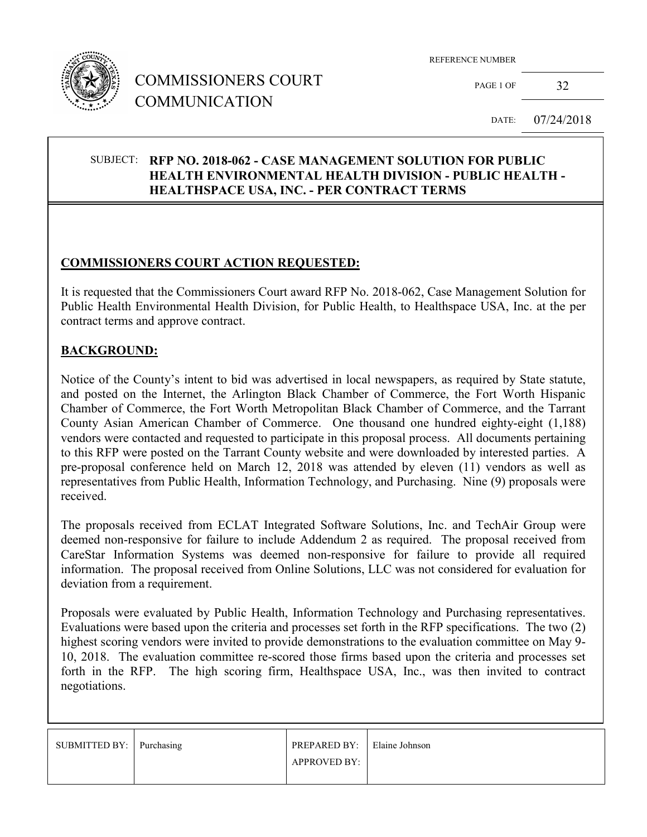

## COMMISSIONERS COURT COMMUNICATION

REFERENCE NUMBER

PAGE 1 OF 32

DATE: 07/24/2018

#### SUBJECT: **RFP NO. 2018-062 - CASE MANAGEMENT SOLUTION FOR PUBLIC HEALTH ENVIRONMENTAL HEALTH DIVISION - PUBLIC HEALTH - HEALTHSPACE USA, INC. - PER CONTRACT TERMS**

### **COMMISSIONERS COURT ACTION REQUESTED:**

It is requested that the Commissioners Court award RFP No. 2018-062, Case Management Solution for Public Health Environmental Health Division, for Public Health, to Healthspace USA, Inc. at the per contract terms and approve contract.

#### **BACKGROUND:**

Notice of the County's intent to bid was advertised in local newspapers, as required by State statute, and posted on the Internet, the Arlington Black Chamber of Commerce, the Fort Worth Hispanic Chamber of Commerce, the Fort Worth Metropolitan Black Chamber of Commerce, and the Tarrant County Asian American Chamber of Commerce. One thousand one hundred eighty-eight (1,188) vendors were contacted and requested to participate in this proposal process. All documents pertaining to this RFP were posted on the Tarrant County website and were downloaded by interested parties. A pre-proposal conference held on March 12, 2018 was attended by eleven (11) vendors as well as representatives from Public Health, Information Technology, and Purchasing. Nine (9) proposals were received.

The proposals received from ECLAT Integrated Software Solutions, Inc. and TechAir Group were deemed non-responsive for failure to include Addendum 2 as required. The proposal received from CareStar Information Systems was deemed non-responsive for failure to provide all required information. The proposal received from Online Solutions, LLC was not considered for evaluation for deviation from a requirement.

Proposals were evaluated by Public Health, Information Technology and Purchasing representatives. Evaluations were based upon the criteria and processes set forth in the RFP specifications. The two (2) highest scoring vendors were invited to provide demonstrations to the evaluation committee on May 9- 10, 2018. The evaluation committee re-scored those firms based upon the criteria and processes set forth in the RFP. The high scoring firm, Healthspace USA, Inc., was then invited to contract negotiations.

| SUBMITTED BY: Purchasing | <b>PREPARED BY:</b> Elaine Johnson |  |
|--------------------------|------------------------------------|--|
|                          | <b>APPROVED BY:</b>                |  |